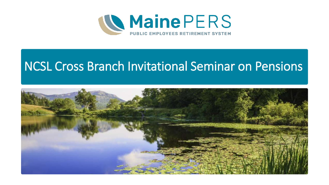

### NCSL Cross Branch Invitational Seminar on Pensions

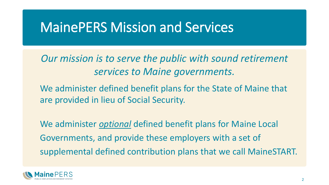### MainePERS Mission and Services

*Our mission is to serve the public with sound retirement services to Maine governments.*

We administer defined benefit plans for the State of Maine that are provided in lieu of Social Security.

We administer *optional* defined benefit plans for Maine Local Governments, and provide these employers with a set of supplemental defined contribution plans that we call MaineSTART.

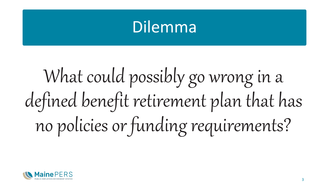# Dilemma

# What could possibly go wrong in a defined benefit retirement plan that has no policies or funding requirements?

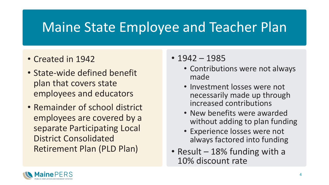### Maine State Employee and Teacher Plan

- Created in 1942
- State-wide defined benefit plan that covers state employees and educators
- Remainder of school district employees are covered by a separate Participating Local District Consolidated Retirement Plan (PLD Plan)
- 1942 1985
	- Contributions were not always made
	- Investment losses were not necessarily made up through increased contributions
	- New benefits were awarded without adding to plan funding
	- Experience losses were not always factored into funding
- Result 18% funding with a 10% discount rate

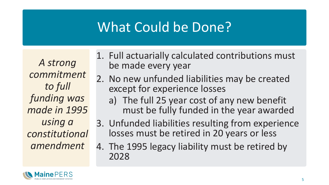### What Could be Done?

*A strong commitment to full funding was made in 1995 using a constitutional amendment*

- 1. Full actuarially calculated contributions must be made every year
- 2. No new unfunded liabilities may be created except for experience losses
	- a) The full 25 year cost of any new benefit must be fully funded in the year awarded
- 3. Unfunded liabilities resulting from experience losses must be retired in 20 years or less
- 4. The 1995 legacy liability must be retired by 2028

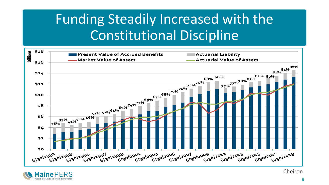## Funding Steadily Increased with the Constitutional Discipline





Cheiron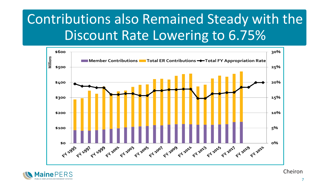# Contributions also Remained Steady with the Discount Rate Lowering to 6.75%





Cheiron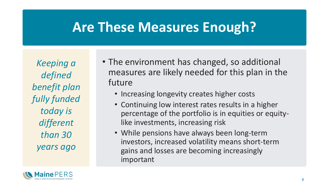### **Are These Measures Enough?**

*Keeping a defined benefit plan fully funded today is different than 30 years ago*

- The environment has changed, so additional measures are likely needed for this plan in the future
	- Increasing longevity creates higher costs
	- Continuing low interest rates results in a higher percentage of the portfolio is in equities or equitylike investments, increasing risk
	- While pensions have always been long-term investors, increased volatility means short-term gains and losses are becoming increasingly important

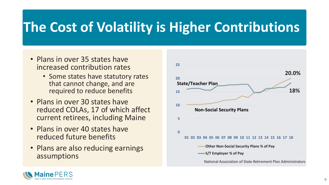## **The Cost of Volatility is Higher Contributions**

- Plans in over 35 states have increased contribution rates
	- Some states have statutory rates that cannot change, and are required to reduce benefits
- Plans in over 30 states have reduced COLAs, 17 of which affect current retirees, including Maine
- Plans in over 40 states have reduced future benefits
- Plans are also reducing earnings assumptions



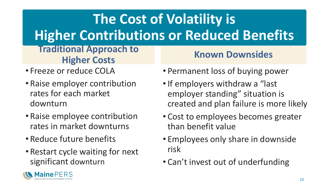# **The Cost of Volatility is Higher Contributions or Reduced Benefits**

#### **Traditional Approach to Higher Costs Known Downsides**

- Freeze or reduce COLA
- Raise employer contribution rates for each market downturn
- Raise employee contribution rates in market downturns
- Reduce future benefits
- Restart cycle waiting for next significant downturn
- Permanent loss of buying power
- •If employers withdraw a "last employer standing" situation is created and plan failure is more likely
- Cost to employees becomes greater than benefit value
- Employees only share in downside risk
- Can't invest out of underfunding

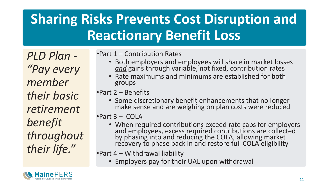# **Sharing Risks Prevents Cost Disruption and Reactionary Benefit Loss**

*PLD Plan - "Pay every member their basic retirement benefit throughout their life."*

•Part 1 – Contribution Rates

- Both employers and employees will share in market losses *and* gains through variable, not fixed, contribution rates
- Rate maximums and minimums are established for both groups

•Part 2 – Benefits

• Some discretionary benefit enhancements that no longer make sense and are weighing on plan costs were reduced

•Part 3 – COLA

• When required contributions exceed rate caps for employers and employees, excess required contributions are collected by phasing into and reducing the COLA, allowing market recovery to phase back in and restore full COLA eligibility

•Part 4 – Withdrawal liability

• Employers pay for their UAL upon withdrawal

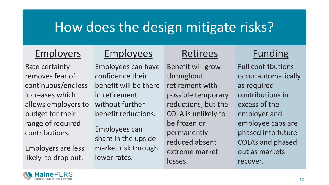### How does the design mitigate risks?

### Employers

Rate certainty removes fear of continuous/endless increases which allows employers to budget for their range of required contributions.

Employers are less likely to drop out.

### Employees

Employees can have confidence their benefit will be there in retirement without further benefit reductions.

Employees can share in the upside market risk through lower rates.

### Retirees

Benefit will grow throughout retirement with possible temporary reductions, but the COLA is unlikely to be frozen or permanently reduced absent extreme market losses.

### Funding

Full contributions occur automatically as required contributions in excess of the employer and employee caps are phased into future COLAs and phased out as markets recover.